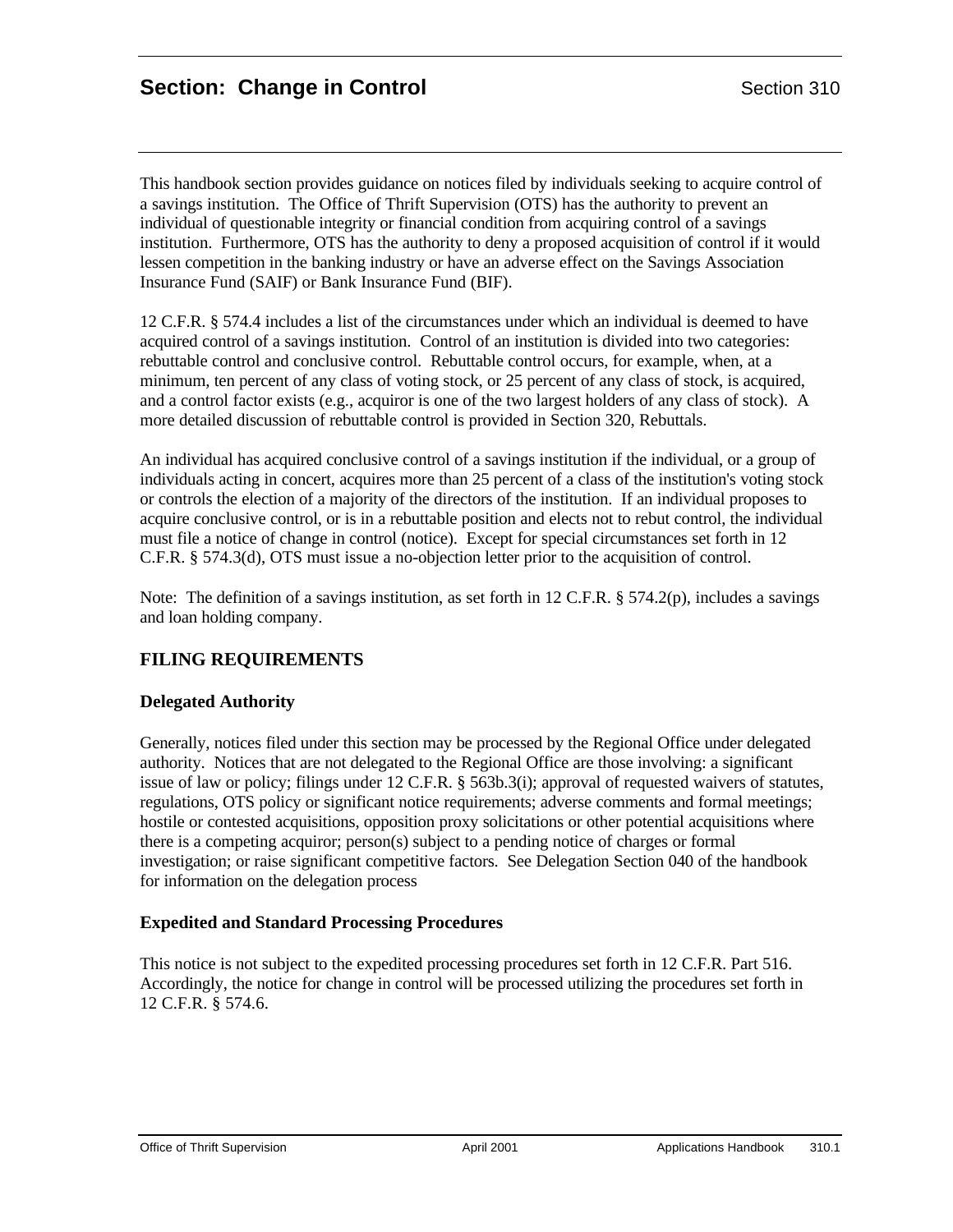This handbook section provides guidance on notices filed by individuals seeking to acquire control of a savings institution. The Office of Thrift Supervision (OTS) has the authority to prevent an individual of questionable integrity or financial condition from acquiring control of a savings institution. Furthermore, OTS has the authority to deny a proposed acquisition of control if it would lessen competition in the banking industry or have an adverse effect on the Savings Association Insurance Fund (SAIF) or Bank Insurance Fund (BIF).

12 C.F.R. § 574.4 includes a list of the circumstances under which an individual is deemed to have acquired control of a savings institution. Control of an institution is divided into two categories: rebuttable control and conclusive control. Rebuttable control occurs, for example, when, at a minimum, ten percent of any class of voting stock, or 25 percent of any class of stock, is acquired, and a control factor exists (e.g., acquiror is one of the two largest holders of any class of stock). A more detailed discussion of rebuttable control is provided in Section 320, Rebuttals.

An individual has acquired conclusive control of a savings institution if the individual, or a group of individuals acting in concert, acquires more than 25 percent of a class of the institution's voting stock or controls the election of a majority of the directors of the institution. If an individual proposes to acquire conclusive control, or is in a rebuttable position and elects not to rebut control, the individual must file a notice of change in control (notice). Except for special circumstances set forth in 12 C.F.R. § 574.3(d), OTS must issue a no-objection letter prior to the acquisition of control.

Note: The definition of a savings institution, as set forth in 12 C.F.R. § 574.2(p), includes a savings and loan holding company.

# **FILING REQUIREMENTS**

## **Delegated Authority**

Generally, notices filed under this section may be processed by the Regional Office under delegated authority. Notices that are not delegated to the Regional Office are those involving: a significant issue of law or policy; filings under 12 C.F.R. § 563b.3(i); approval of requested waivers of statutes, regulations, OTS policy or significant notice requirements; adverse comments and formal meetings; hostile or contested acquisitions, opposition proxy solicitations or other potential acquisitions where there is a competing acquiror; person(s) subject to a pending notice of charges or formal investigation; or raise significant competitive factors. See Delegation Section 040 of the handbook for information on the delegation process

## **Expedited and Standard Processing Procedures**

This notice is not subject to the expedited processing procedures set forth in 12 C.F.R. Part 516. Accordingly, the notice for change in control will be processed utilizing the procedures set forth in 12 C.F.R. § 574.6.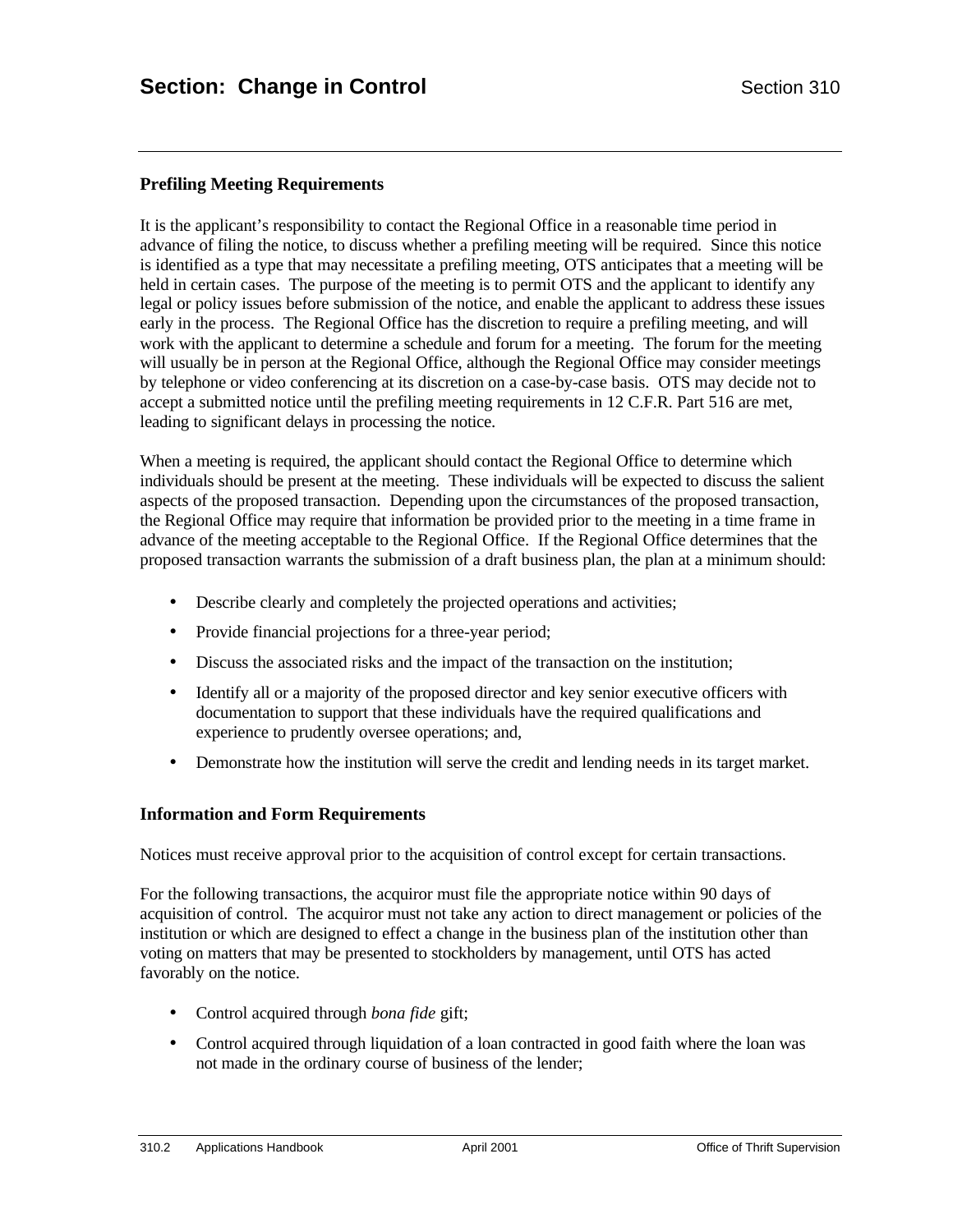## **Prefiling Meeting Requirements**

It is the applicant's responsibility to contact the Regional Office in a reasonable time period in advance of filing the notice, to discuss whether a prefiling meeting will be required. Since this notice is identified as a type that may necessitate a prefiling meeting, OTS anticipates that a meeting will be held in certain cases. The purpose of the meeting is to permit OTS and the applicant to identify any legal or policy issues before submission of the notice, and enable the applicant to address these issues early in the process. The Regional Office has the discretion to require a prefiling meeting, and will work with the applicant to determine a schedule and forum for a meeting. The forum for the meeting will usually be in person at the Regional Office, although the Regional Office may consider meetings by telephone or video conferencing at its discretion on a case-by-case basis. OTS may decide not to accept a submitted notice until the prefiling meeting requirements in 12 C.F.R. Part 516 are met, leading to significant delays in processing the notice.

When a meeting is required, the applicant should contact the Regional Office to determine which individuals should be present at the meeting. These individuals will be expected to discuss the salient aspects of the proposed transaction. Depending upon the circumstances of the proposed transaction, the Regional Office may require that information be provided prior to the meeting in a time frame in advance of the meeting acceptable to the Regional Office. If the Regional Office determines that the proposed transaction warrants the submission of a draft business plan, the plan at a minimum should:

- Describe clearly and completely the projected operations and activities;
- Provide financial projections for a three-year period;
- Discuss the associated risks and the impact of the transaction on the institution;
- Identify all or a majority of the proposed director and key senior executive officers with documentation to support that these individuals have the required qualifications and experience to prudently oversee operations; and,
- Demonstrate how the institution will serve the credit and lending needs in its target market.

#### **Information and Form Requirements**

Notices must receive approval prior to the acquisition of control except for certain transactions.

For the following transactions, the acquiror must file the appropriate notice within 90 days of acquisition of control. The acquiror must not take any action to direct management or policies of the institution or which are designed to effect a change in the business plan of the institution other than voting on matters that may be presented to stockholders by management, until OTS has acted favorably on the notice.

- Control acquired through *bona fide* gift;
- Control acquired through liquidation of a loan contracted in good faith where the loan was not made in the ordinary course of business of the lender;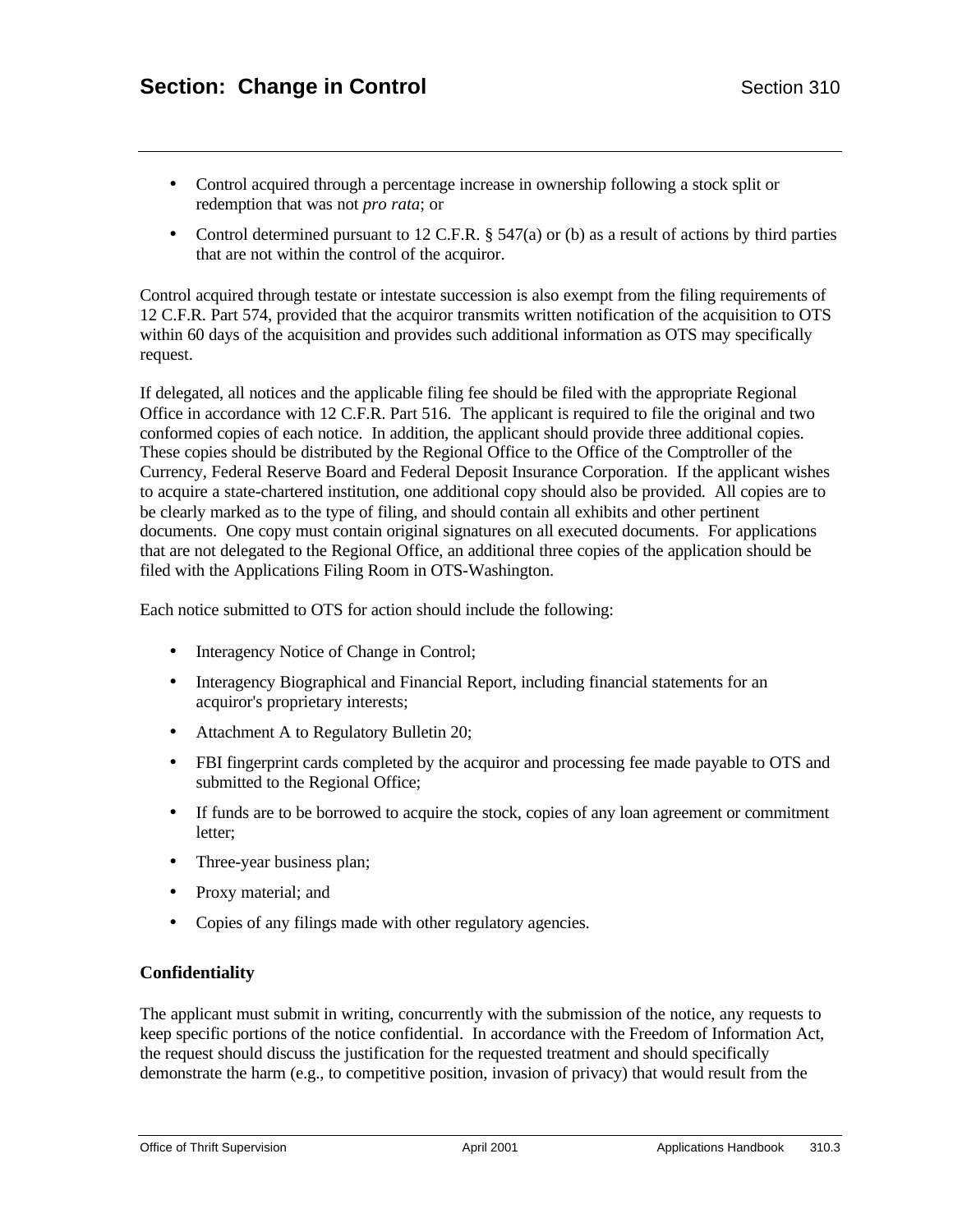- Control acquired through a percentage increase in ownership following a stock split or redemption that was not *pro rata*; or
- Control determined pursuant to 12 C.F.R.  $\S$  547(a) or (b) as a result of actions by third parties that are not within the control of the acquiror.

Control acquired through testate or intestate succession is also exempt from the filing requirements of 12 C.F.R. Part 574, provided that the acquiror transmits written notification of the acquisition to OTS within 60 days of the acquisition and provides such additional information as OTS may specifically request.

If delegated, all notices and the applicable filing fee should be filed with the appropriate Regional Office in accordance with 12 C.F.R. Part 516. The applicant is required to file the original and two conformed copies of each notice. In addition, the applicant should provide three additional copies. These copies should be distributed by the Regional Office to the Office of the Comptroller of the Currency, Federal Reserve Board and Federal Deposit Insurance Corporation. If the applicant wishes to acquire a state-chartered institution, one additional copy should also be provided. All copies are to be clearly marked as to the type of filing, and should contain all exhibits and other pertinent documents. One copy must contain original signatures on all executed documents. For applications that are not delegated to the Regional Office, an additional three copies of the application should be filed with the Applications Filing Room in OTS-Washington.

Each notice submitted to OTS for action should include the following:

- Interagency Notice of Change in Control;
- Interagency Biographical and Financial Report, including financial statements for an acquiror's proprietary interests;
- Attachment A to Regulatory Bulletin 20;
- FBI fingerprint cards completed by the acquiror and processing fee made payable to OTS and submitted to the Regional Office;
- If funds are to be borrowed to acquire the stock, copies of any loan agreement or commitment letter;
- Three-year business plan;
- Proxy material; and
- Copies of any filings made with other regulatory agencies.

## **Confidentiality**

The applicant must submit in writing, concurrently with the submission of the notice, any requests to keep specific portions of the notice confidential. In accordance with the Freedom of Information Act, the request should discuss the justification for the requested treatment and should specifically demonstrate the harm (e.g., to competitive position, invasion of privacy) that would result from the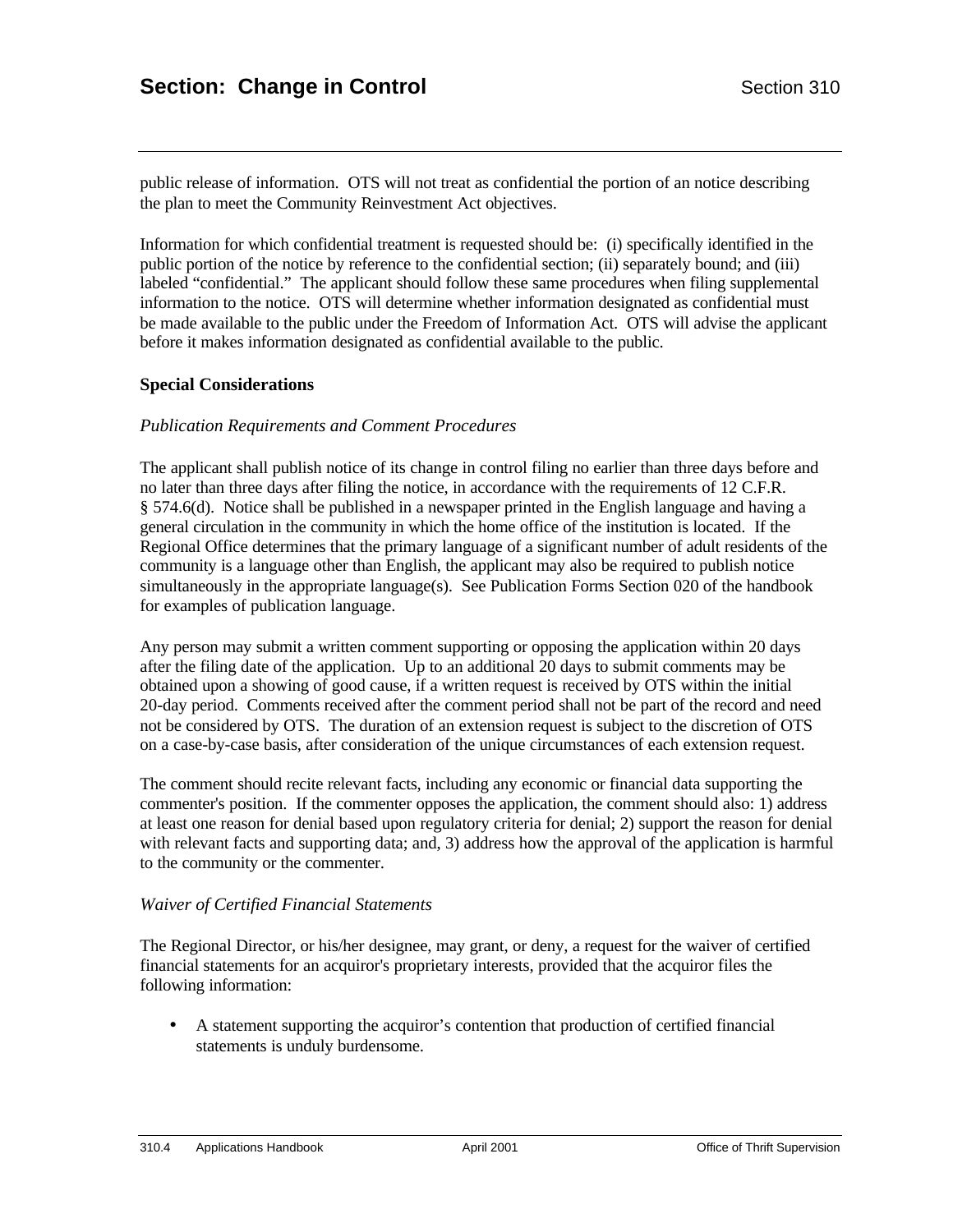public release of information. OTS will not treat as confidential the portion of an notice describing the plan to meet the Community Reinvestment Act objectives.

Information for which confidential treatment is requested should be: (i) specifically identified in the public portion of the notice by reference to the confidential section; (ii) separately bound; and (iii) labeled "confidential." The applicant should follow these same procedures when filing supplemental information to the notice. OTS will determine whether information designated as confidential must be made available to the public under the Freedom of Information Act. OTS will advise the applicant before it makes information designated as confidential available to the public.

### **Special Considerations**

#### *Publication Requirements and Comment Procedures*

The applicant shall publish notice of its change in control filing no earlier than three days before and no later than three days after filing the notice, in accordance with the requirements of 12 C.F.R. § 574.6(d). Notice shall be published in a newspaper printed in the English language and having a general circulation in the community in which the home office of the institution is located. If the Regional Office determines that the primary language of a significant number of adult residents of the community is a language other than English, the applicant may also be required to publish notice simultaneously in the appropriate language(s). See Publication Forms Section 020 of the handbook for examples of publication language.

Any person may submit a written comment supporting or opposing the application within 20 days after the filing date of the application. Up to an additional 20 days to submit comments may be obtained upon a showing of good cause, if a written request is received by OTS within the initial 20-day period. Comments received after the comment period shall not be part of the record and need not be considered by OTS. The duration of an extension request is subject to the discretion of OTS on a case-by-case basis, after consideration of the unique circumstances of each extension request.

The comment should recite relevant facts, including any economic or financial data supporting the commenter's position. If the commenter opposes the application, the comment should also: 1) address at least one reason for denial based upon regulatory criteria for denial; 2) support the reason for denial with relevant facts and supporting data; and, 3) address how the approval of the application is harmful to the community or the commenter.

#### *Waiver of Certified Financial Statements*

The Regional Director, or his/her designee, may grant, or deny, a request for the waiver of certified financial statements for an acquiror's proprietary interests, provided that the acquiror files the following information:

• A statement supporting the acquiror's contention that production of certified financial statements is unduly burdensome.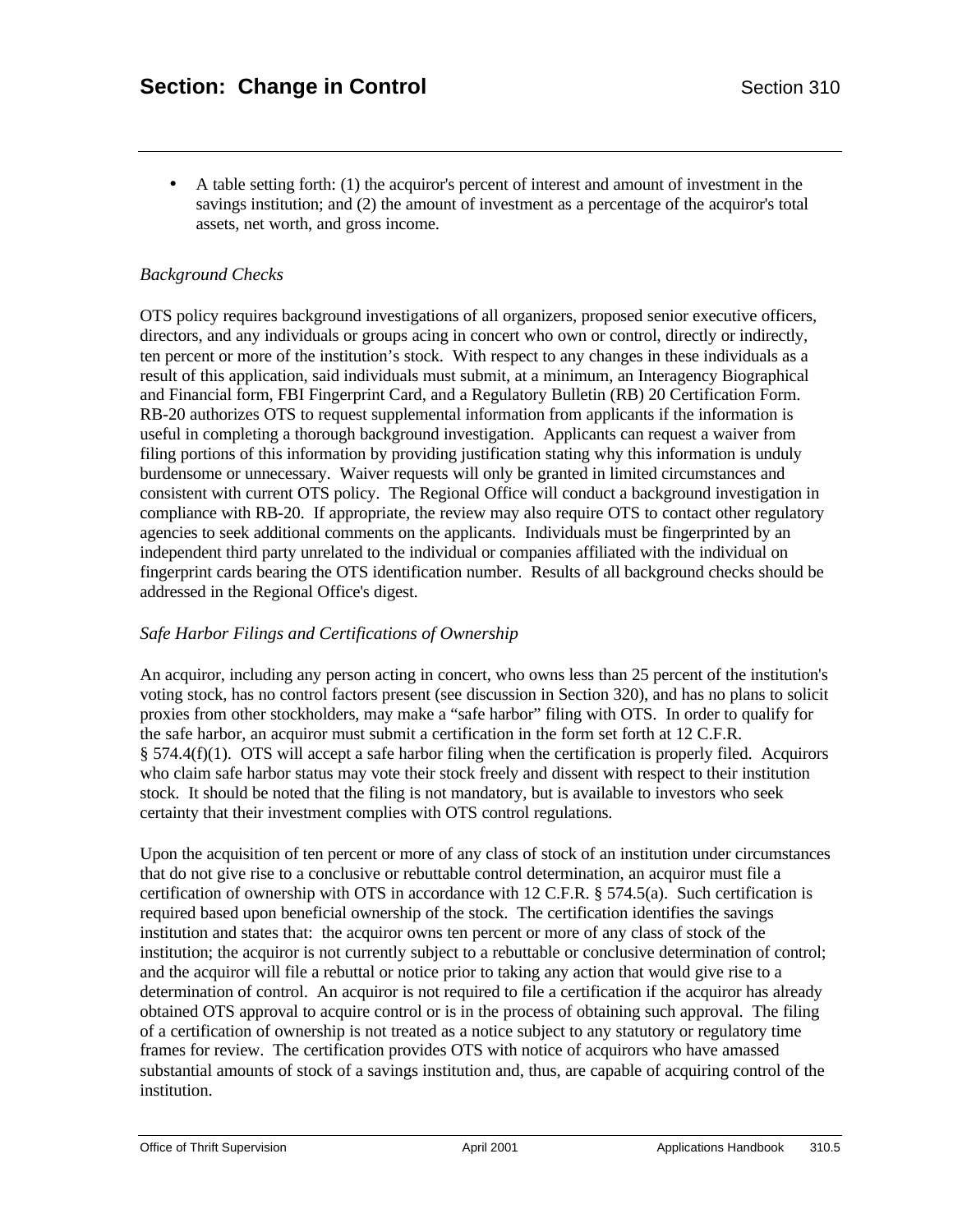• A table setting forth: (1) the acquiror's percent of interest and amount of investment in the savings institution; and (2) the amount of investment as a percentage of the acquiror's total assets, net worth, and gross income.

## *Background Checks*

OTS policy requires background investigations of all organizers, proposed senior executive officers, directors, and any individuals or groups acing in concert who own or control, directly or indirectly, ten percent or more of the institution's stock. With respect to any changes in these individuals as a result of this application, said individuals must submit, at a minimum, an Interagency Biographical and Financial form, FBI Fingerprint Card, and a Regulatory Bulletin (RB) 20 Certification Form. RB-20 authorizes OTS to request supplemental information from applicants if the information is useful in completing a thorough background investigation. Applicants can request a waiver from filing portions of this information by providing justification stating why this information is unduly burdensome or unnecessary. Waiver requests will only be granted in limited circumstances and consistent with current OTS policy. The Regional Office will conduct a background investigation in compliance with RB-20. If appropriate, the review may also require OTS to contact other regulatory agencies to seek additional comments on the applicants. Individuals must be fingerprinted by an independent third party unrelated to the individual or companies affiliated with the individual on fingerprint cards bearing the OTS identification number. Results of all background checks should be addressed in the Regional Office's digest.

## *Safe Harbor Filings and Certifications of Ownership*

An acquiror, including any person acting in concert, who owns less than 25 percent of the institution's voting stock, has no control factors present (see discussion in Section 320), and has no plans to solicit proxies from other stockholders, may make a "safe harbor" filing with OTS. In order to qualify for the safe harbor, an acquiror must submit a certification in the form set forth at 12 C.F.R. § 574.4(f)(1). OTS will accept a safe harbor filing when the certification is properly filed. Acquirors who claim safe harbor status may vote their stock freely and dissent with respect to their institution stock. It should be noted that the filing is not mandatory, but is available to investors who seek certainty that their investment complies with OTS control regulations.

Upon the acquisition of ten percent or more of any class of stock of an institution under circumstances that do not give rise to a conclusive or rebuttable control determination, an acquiror must file a certification of ownership with OTS in accordance with 12 C.F.R. § 574.5(a). Such certification is required based upon beneficial ownership of the stock. The certification identifies the savings institution and states that: the acquiror owns ten percent or more of any class of stock of the institution; the acquiror is not currently subject to a rebuttable or conclusive determination of control; and the acquiror will file a rebuttal or notice prior to taking any action that would give rise to a determination of control. An acquiror is not required to file a certification if the acquiror has already obtained OTS approval to acquire control or is in the process of obtaining such approval. The filing of a certification of ownership is not treated as a notice subject to any statutory or regulatory time frames for review. The certification provides OTS with notice of acquirors who have amassed substantial amounts of stock of a savings institution and, thus, are capable of acquiring control of the institution.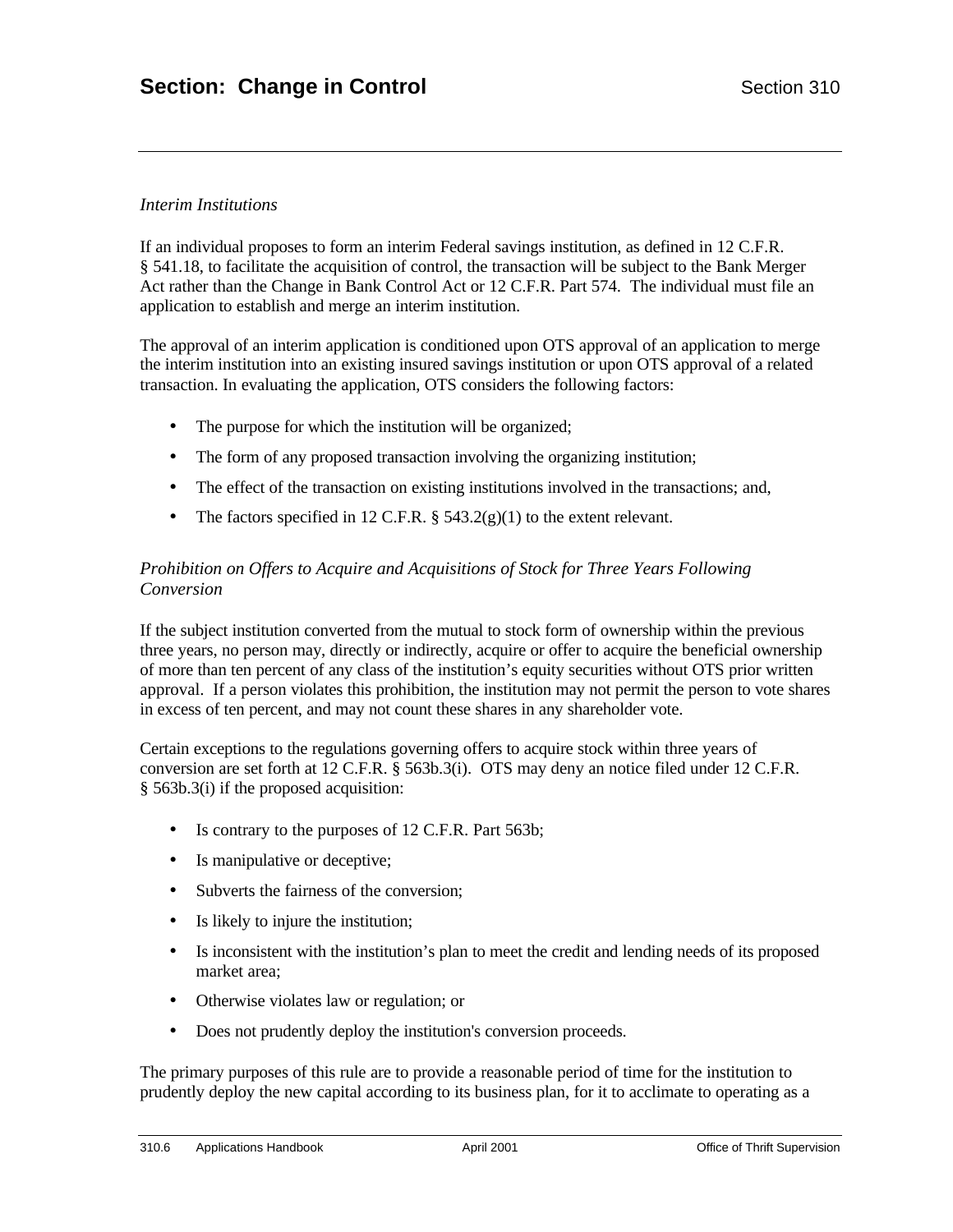## *Interim Institutions*

If an individual proposes to form an interim Federal savings institution, as defined in 12 C.F.R. § 541.18, to facilitate the acquisition of control, the transaction will be subject to the Bank Merger Act rather than the Change in Bank Control Act or 12 C.F.R. Part 574. The individual must file an application to establish and merge an interim institution.

The approval of an interim application is conditioned upon OTS approval of an application to merge the interim institution into an existing insured savings institution or upon OTS approval of a related transaction. In evaluating the application, OTS considers the following factors:

- The purpose for which the institution will be organized;
- The form of any proposed transaction involving the organizing institution;
- The effect of the transaction on existing institutions involved in the transactions; and,
- The factors specified in 12 C.F.R.  $\S$  543.2(g)(1) to the extent relevant.

## *Prohibition on Offers to Acquire and Acquisitions of Stock for Three Years Following Conversion*

If the subject institution converted from the mutual to stock form of ownership within the previous three years, no person may, directly or indirectly, acquire or offer to acquire the beneficial ownership of more than ten percent of any class of the institution's equity securities without OTS prior written approval. If a person violates this prohibition, the institution may not permit the person to vote shares in excess of ten percent, and may not count these shares in any shareholder vote.

Certain exceptions to the regulations governing offers to acquire stock within three years of conversion are set forth at 12 C.F.R. § 563b.3(i). OTS may deny an notice filed under 12 C.F.R. § 563b.3(i) if the proposed acquisition:

- Is contrary to the purposes of 12 C.F.R. Part 563b;
- Is manipulative or deceptive;
- Subverts the fairness of the conversion;
- Is likely to injure the institution;
- Is inconsistent with the institution's plan to meet the credit and lending needs of its proposed market area;
- Otherwise violates law or regulation; or
- Does not prudently deploy the institution's conversion proceeds.

The primary purposes of this rule are to provide a reasonable period of time for the institution to prudently deploy the new capital according to its business plan, for it to acclimate to operating as a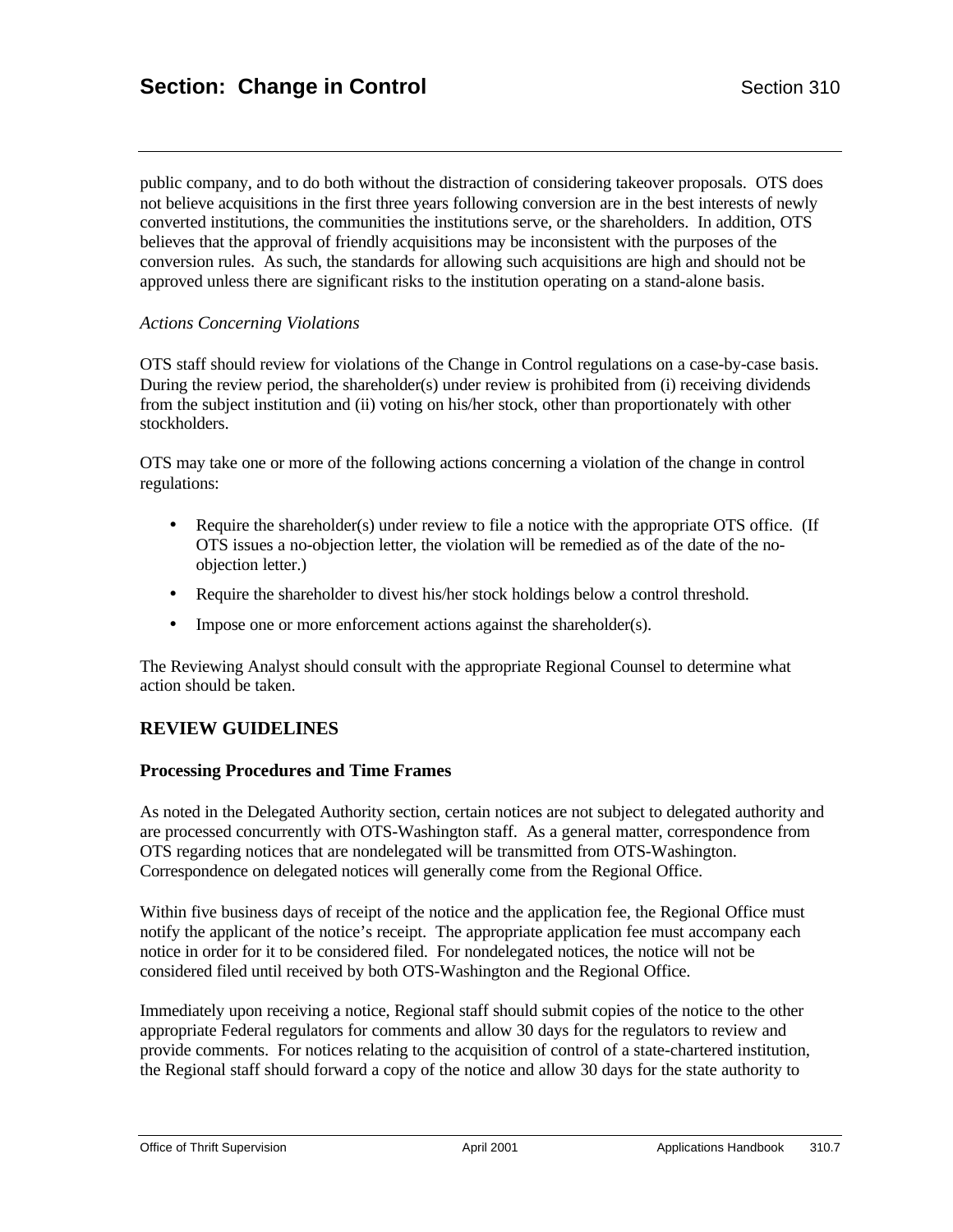public company, and to do both without the distraction of considering takeover proposals. OTS does not believe acquisitions in the first three years following conversion are in the best interests of newly converted institutions, the communities the institutions serve, or the shareholders. In addition, OTS believes that the approval of friendly acquisitions may be inconsistent with the purposes of the conversion rules. As such, the standards for allowing such acquisitions are high and should not be approved unless there are significant risks to the institution operating on a stand-alone basis.

#### *Actions Concerning Violations*

OTS staff should review for violations of the Change in Control regulations on a case-by-case basis. During the review period, the shareholder(s) under review is prohibited from (i) receiving dividends from the subject institution and (ii) voting on his/her stock, other than proportionately with other stockholders.

OTS may take one or more of the following actions concerning a violation of the change in control regulations:

- Require the shareholder(s) under review to file a notice with the appropriate OTS office. (If OTS issues a no-objection letter, the violation will be remedied as of the date of the noobjection letter.)
- Require the shareholder to divest his/her stock holdings below a control threshold.
- Impose one or more enforcement actions against the shareholder(s).

The Reviewing Analyst should consult with the appropriate Regional Counsel to determine what action should be taken.

## **REVIEW GUIDELINES**

#### **Processing Procedures and Time Frames**

As noted in the Delegated Authority section, certain notices are not subject to delegated authority and are processed concurrently with OTS-Washington staff. As a general matter, correspondence from OTS regarding notices that are nondelegated will be transmitted from OTS-Washington. Correspondence on delegated notices will generally come from the Regional Office.

Within five business days of receipt of the notice and the application fee, the Regional Office must notify the applicant of the notice's receipt. The appropriate application fee must accompany each notice in order for it to be considered filed. For nondelegated notices, the notice will not be considered filed until received by both OTS-Washington and the Regional Office.

Immediately upon receiving a notice, Regional staff should submit copies of the notice to the other appropriate Federal regulators for comments and allow 30 days for the regulators to review and provide comments. For notices relating to the acquisition of control of a state-chartered institution, the Regional staff should forward a copy of the notice and allow 30 days for the state authority to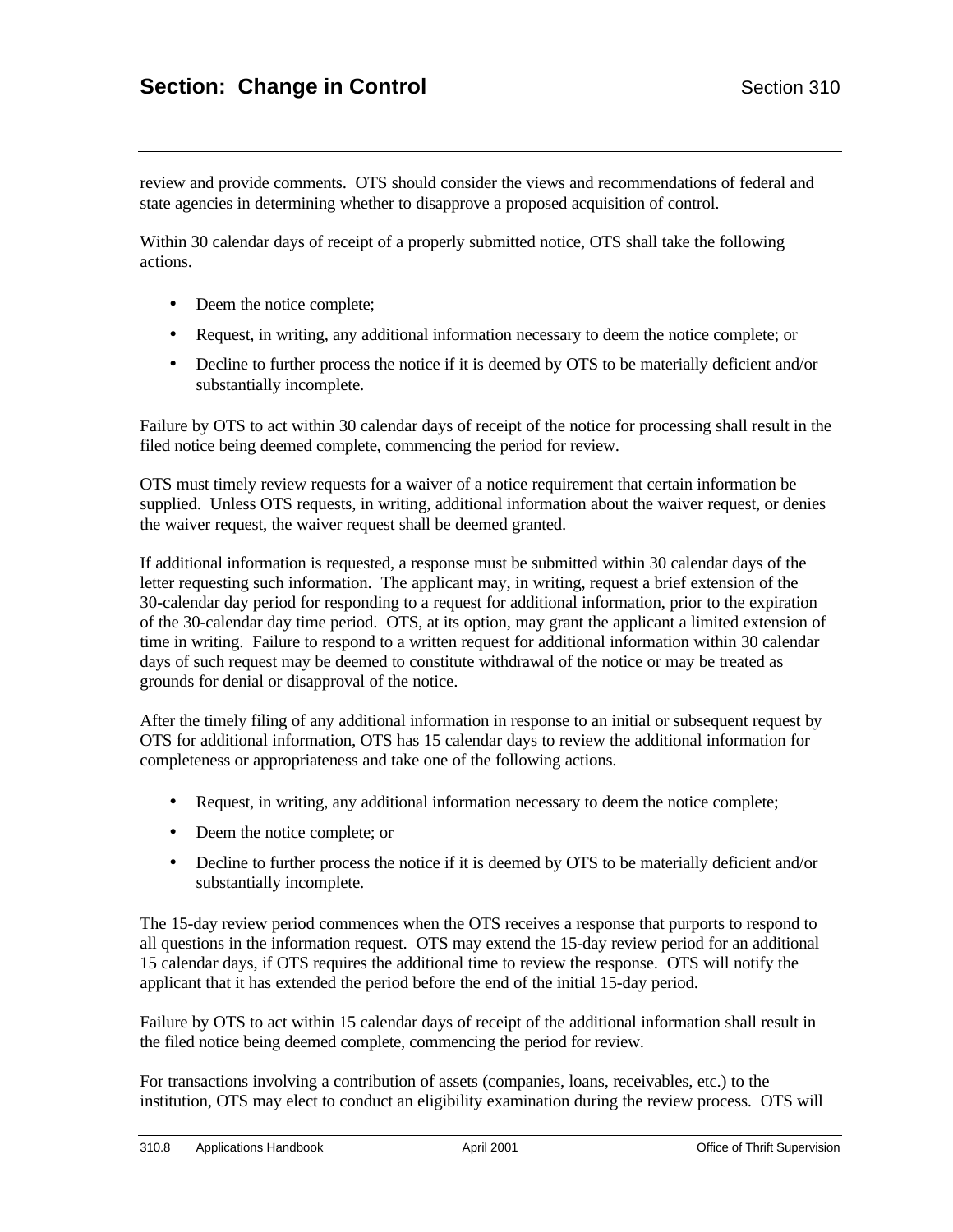review and provide comments. OTS should consider the views and recommendations of federal and state agencies in determining whether to disapprove a proposed acquisition of control.

Within 30 calendar days of receipt of a properly submitted notice, OTS shall take the following actions.

- Deem the notice complete;
- Request, in writing, any additional information necessary to deem the notice complete; or
- Decline to further process the notice if it is deemed by OTS to be materially deficient and/or substantially incomplete.

Failure by OTS to act within 30 calendar days of receipt of the notice for processing shall result in the filed notice being deemed complete, commencing the period for review.

OTS must timely review requests for a waiver of a notice requirement that certain information be supplied. Unless OTS requests, in writing, additional information about the waiver request, or denies the waiver request, the waiver request shall be deemed granted.

If additional information is requested, a response must be submitted within 30 calendar days of the letter requesting such information. The applicant may, in writing, request a brief extension of the 30-calendar day period for responding to a request for additional information, prior to the expiration of the 30-calendar day time period. OTS, at its option, may grant the applicant a limited extension of time in writing. Failure to respond to a written request for additional information within 30 calendar days of such request may be deemed to constitute withdrawal of the notice or may be treated as grounds for denial or disapproval of the notice.

After the timely filing of any additional information in response to an initial or subsequent request by OTS for additional information, OTS has 15 calendar days to review the additional information for completeness or appropriateness and take one of the following actions.

- Request, in writing, any additional information necessary to deem the notice complete;
- Deem the notice complete; or
- Decline to further process the notice if it is deemed by OTS to be materially deficient and/or substantially incomplete.

The 15-day review period commences when the OTS receives a response that purports to respond to all questions in the information request. OTS may extend the 15-day review period for an additional 15 calendar days, if OTS requires the additional time to review the response. OTS will notify the applicant that it has extended the period before the end of the initial 15-day period.

Failure by OTS to act within 15 calendar days of receipt of the additional information shall result in the filed notice being deemed complete, commencing the period for review.

For transactions involving a contribution of assets (companies, loans, receivables, etc.) to the institution, OTS may elect to conduct an eligibility examination during the review process. OTS will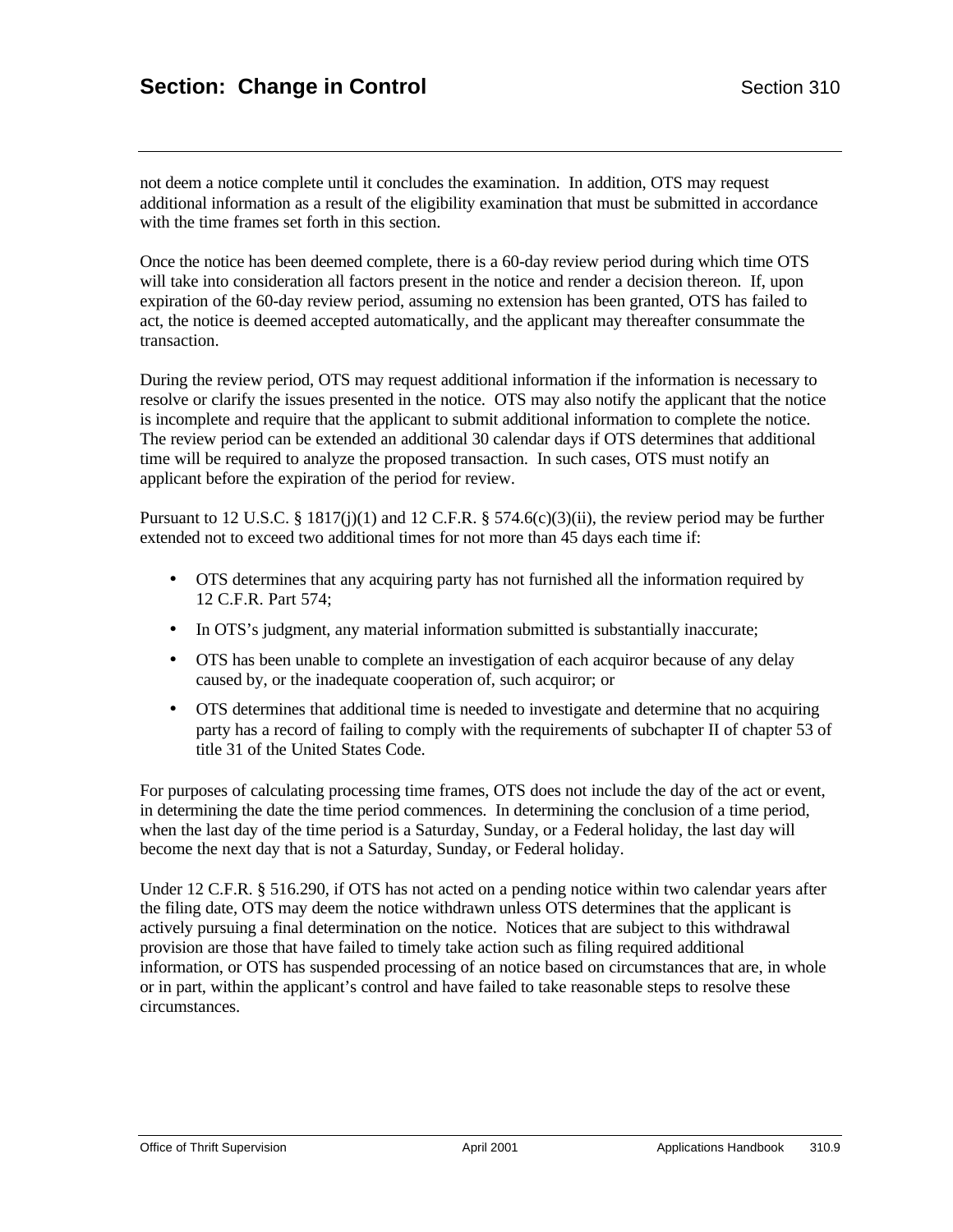not deem a notice complete until it concludes the examination. In addition, OTS may request additional information as a result of the eligibility examination that must be submitted in accordance with the time frames set forth in this section.

Once the notice has been deemed complete, there is a 60-day review period during which time OTS will take into consideration all factors present in the notice and render a decision thereon. If, upon expiration of the 60-day review period, assuming no extension has been granted, OTS has failed to act, the notice is deemed accepted automatically, and the applicant may thereafter consummate the transaction.

During the review period, OTS may request additional information if the information is necessary to resolve or clarify the issues presented in the notice. OTS may also notify the applicant that the notice is incomplete and require that the applicant to submit additional information to complete the notice. The review period can be extended an additional 30 calendar days if OTS determines that additional time will be required to analyze the proposed transaction. In such cases, OTS must notify an applicant before the expiration of the period for review.

Pursuant to 12 U.S.C. § 1817(j)(1) and 12 C.F.R. § 574.6(c)(3)(ii), the review period may be further extended not to exceed two additional times for not more than 45 days each time if:

- OTS determines that any acquiring party has not furnished all the information required by 12 C.F.R. Part 574;
- In OTS's judgment, any material information submitted is substantially inaccurate;
- OTS has been unable to complete an investigation of each acquiror because of any delay caused by, or the inadequate cooperation of, such acquiror; or
- OTS determines that additional time is needed to investigate and determine that no acquiring party has a record of failing to comply with the requirements of subchapter II of chapter 53 of title 31 of the United States Code.

For purposes of calculating processing time frames, OTS does not include the day of the act or event, in determining the date the time period commences. In determining the conclusion of a time period, when the last day of the time period is a Saturday, Sunday, or a Federal holiday, the last day will become the next day that is not a Saturday, Sunday, or Federal holiday.

Under 12 C.F.R. § 516.290, if OTS has not acted on a pending notice within two calendar years after the filing date, OTS may deem the notice withdrawn unless OTS determines that the applicant is actively pursuing a final determination on the notice. Notices that are subject to this withdrawal provision are those that have failed to timely take action such as filing required additional information, or OTS has suspended processing of an notice based on circumstances that are, in whole or in part, within the applicant's control and have failed to take reasonable steps to resolve these circumstances.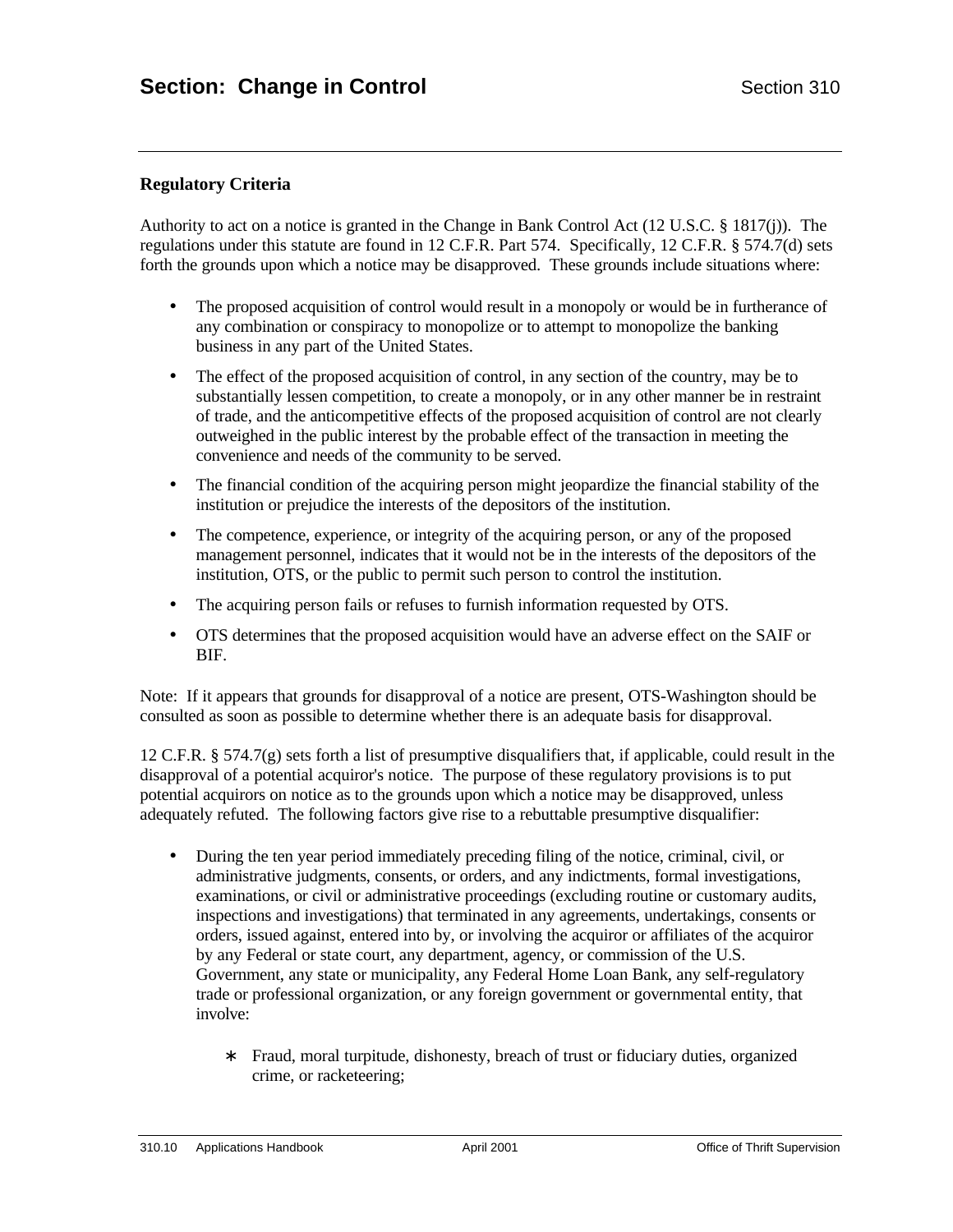## **Regulatory Criteria**

Authority to act on a notice is granted in the Change in Bank Control Act (12 U.S.C. § 1817(j)). The regulations under this statute are found in 12 C.F.R. Part 574. Specifically, 12 C.F.R. § 574.7(d) sets forth the grounds upon which a notice may be disapproved. These grounds include situations where:

- The proposed acquisition of control would result in a monopoly or would be in furtherance of any combination or conspiracy to monopolize or to attempt to monopolize the banking business in any part of the United States.
- The effect of the proposed acquisition of control, in any section of the country, may be to substantially lessen competition, to create a monopoly, or in any other manner be in restraint of trade, and the anticompetitive effects of the proposed acquisition of control are not clearly outweighed in the public interest by the probable effect of the transaction in meeting the convenience and needs of the community to be served.
- The financial condition of the acquiring person might jeopardize the financial stability of the institution or prejudice the interests of the depositors of the institution.
- The competence, experience, or integrity of the acquiring person, or any of the proposed management personnel, indicates that it would not be in the interests of the depositors of the institution, OTS, or the public to permit such person to control the institution.
- The acquiring person fails or refuses to furnish information requested by OTS.
- OTS determines that the proposed acquisition would have an adverse effect on the SAIF or BIF.

Note: If it appears that grounds for disapproval of a notice are present, OTS-Washington should be consulted as soon as possible to determine whether there is an adequate basis for disapproval.

12 C.F.R. § 574.7(g) sets forth a list of presumptive disqualifiers that, if applicable, could result in the disapproval of a potential acquiror's notice. The purpose of these regulatory provisions is to put potential acquirors on notice as to the grounds upon which a notice may be disapproved, unless adequately refuted. The following factors give rise to a rebuttable presumptive disqualifier:

- During the ten year period immediately preceding filing of the notice, criminal, civil, or administrative judgments, consents, or orders, and any indictments, formal investigations, examinations, or civil or administrative proceedings (excluding routine or customary audits, inspections and investigations) that terminated in any agreements, undertakings, consents or orders, issued against, entered into by, or involving the acquiror or affiliates of the acquiror by any Federal or state court, any department, agency, or commission of the U.S. Government, any state or municipality, any Federal Home Loan Bank, any self-regulatory trade or professional organization, or any foreign government or governmental entity, that involve:
	- Fraud, moral turpitude, dishonesty, breach of trust or fiduciary duties, organized crime, or racketeering;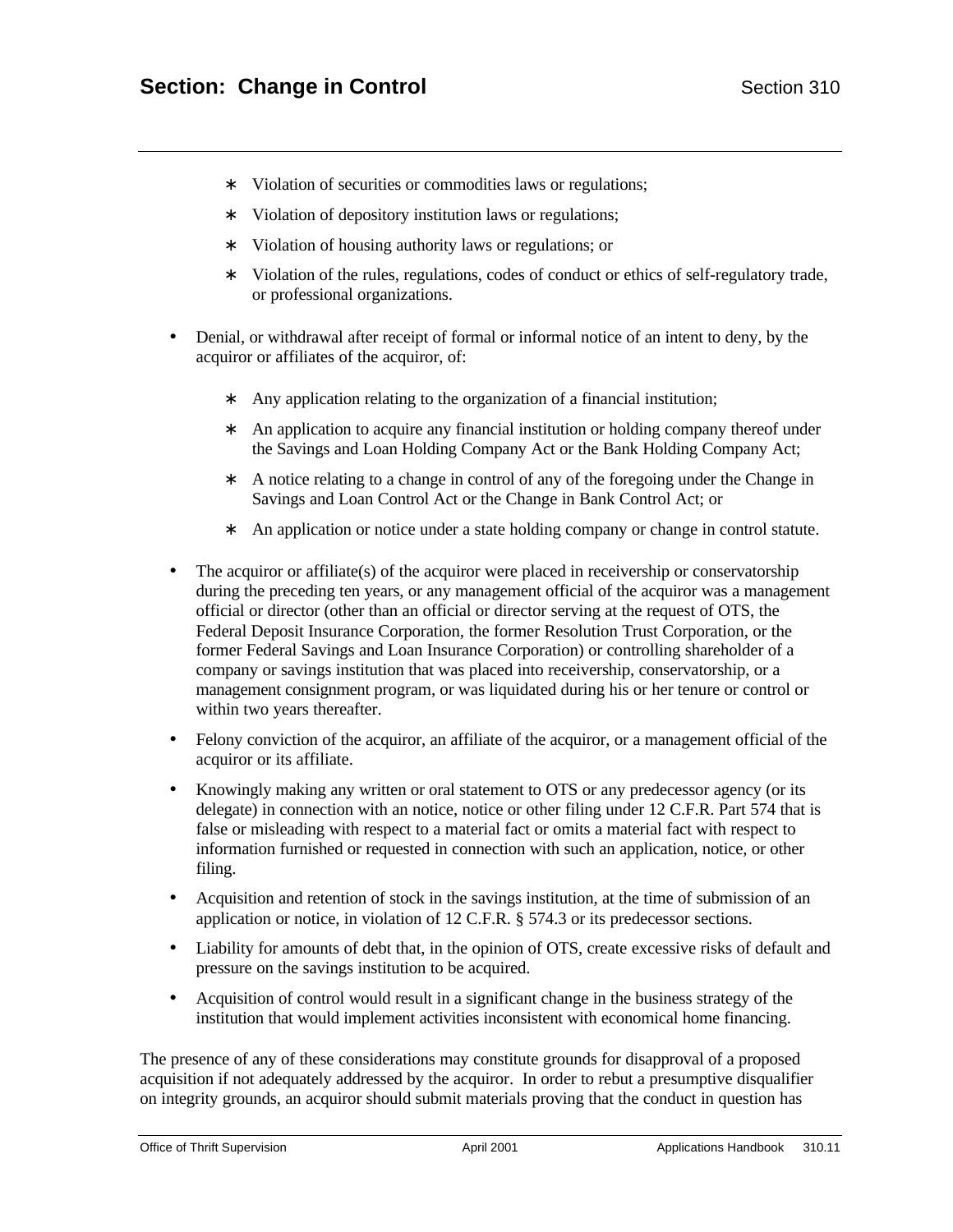- ∗ Violation of securities or commodities laws or regulations;
- ∗ Violation of depository institution laws or regulations;
- ∗ Violation of housing authority laws or regulations; or
- ∗ Violation of the rules, regulations, codes of conduct or ethics of self-regulatory trade, or professional organizations.
- Denial, or withdrawal after receipt of formal or informal notice of an intent to deny, by the acquiror or affiliates of the acquiror, of:
	- ∗ Any application relating to the organization of a financial institution;
	- ∗ An application to acquire any financial institution or holding company thereof under the Savings and Loan Holding Company Act or the Bank Holding Company Act;
	- ∗ A notice relating to a change in control of any of the foregoing under the Change in Savings and Loan Control Act or the Change in Bank Control Act; or
	- ∗ An application or notice under a state holding company or change in control statute.
- The acquiror or affiliate(s) of the acquiror were placed in receivership or conservatorship during the preceding ten years, or any management official of the acquiror was a management official or director (other than an official or director serving at the request of OTS, the Federal Deposit Insurance Corporation, the former Resolution Trust Corporation, or the former Federal Savings and Loan Insurance Corporation) or controlling shareholder of a company or savings institution that was placed into receivership, conservatorship, or a management consignment program, or was liquidated during his or her tenure or control or within two years thereafter.
- Felony conviction of the acquiror, an affiliate of the acquiror, or a management official of the acquiror or its affiliate.
- Knowingly making any written or oral statement to OTS or any predecessor agency (or its delegate) in connection with an notice, notice or other filing under 12 C.F.R. Part 574 that is false or misleading with respect to a material fact or omits a material fact with respect to information furnished or requested in connection with such an application, notice, or other filing.
- Acquisition and retention of stock in the savings institution, at the time of submission of an application or notice, in violation of 12 C.F.R. § 574.3 or its predecessor sections.
- Liability for amounts of debt that, in the opinion of OTS, create excessive risks of default and pressure on the savings institution to be acquired.
- Acquisition of control would result in a significant change in the business strategy of the institution that would implement activities inconsistent with economical home financing.

The presence of any of these considerations may constitute grounds for disapproval of a proposed acquisition if not adequately addressed by the acquiror. In order to rebut a presumptive disqualifier on integrity grounds, an acquiror should submit materials proving that the conduct in question has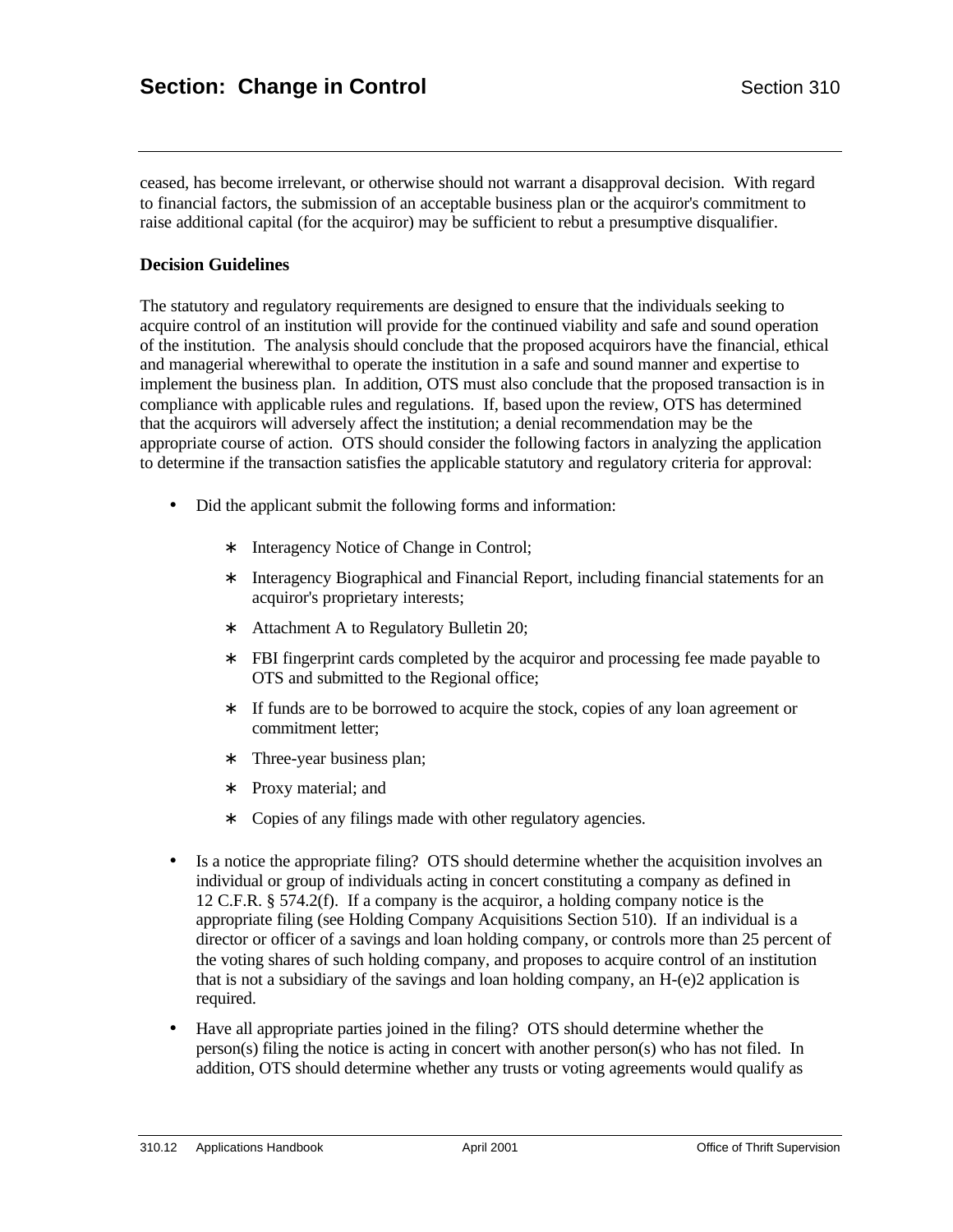ceased, has become irrelevant, or otherwise should not warrant a disapproval decision. With regard to financial factors, the submission of an acceptable business plan or the acquiror's commitment to raise additional capital (for the acquiror) may be sufficient to rebut a presumptive disqualifier.

### **Decision Guidelines**

The statutory and regulatory requirements are designed to ensure that the individuals seeking to acquire control of an institution will provide for the continued viability and safe and sound operation of the institution. The analysis should conclude that the proposed acquirors have the financial, ethical and managerial wherewithal to operate the institution in a safe and sound manner and expertise to implement the business plan. In addition, OTS must also conclude that the proposed transaction is in compliance with applicable rules and regulations. If, based upon the review, OTS has determined that the acquirors will adversely affect the institution; a denial recommendation may be the appropriate course of action. OTS should consider the following factors in analyzing the application to determine if the transaction satisfies the applicable statutory and regulatory criteria for approval:

- Did the applicant submit the following forms and information:
	- ∗ Interagency Notice of Change in Control;
	- ∗ Interagency Biographical and Financial Report, including financial statements for an acquiror's proprietary interests;
	- ∗ Attachment A to Regulatory Bulletin 20;
	- ∗ FBI fingerprint cards completed by the acquiror and processing fee made payable to OTS and submitted to the Regional office;
	- ∗ If funds are to be borrowed to acquire the stock, copies of any loan agreement or commitment letter;
	- ∗ Three-year business plan;
	- ∗ Proxy material; and
	- ∗ Copies of any filings made with other regulatory agencies.
- Is a notice the appropriate filing? OTS should determine whether the acquisition involves an individual or group of individuals acting in concert constituting a company as defined in 12 C.F.R. § 574.2(f). If a company is the acquiror, a holding company notice is the appropriate filing (see Holding Company Acquisitions Section 510). If an individual is a director or officer of a savings and loan holding company, or controls more than 25 percent of the voting shares of such holding company, and proposes to acquire control of an institution that is not a subsidiary of the savings and loan holding company, an  $H-(e)2$  application is required.
- Have all appropriate parties joined in the filing? OTS should determine whether the person(s) filing the notice is acting in concert with another person(s) who has not filed. In addition, OTS should determine whether any trusts or voting agreements would qualify as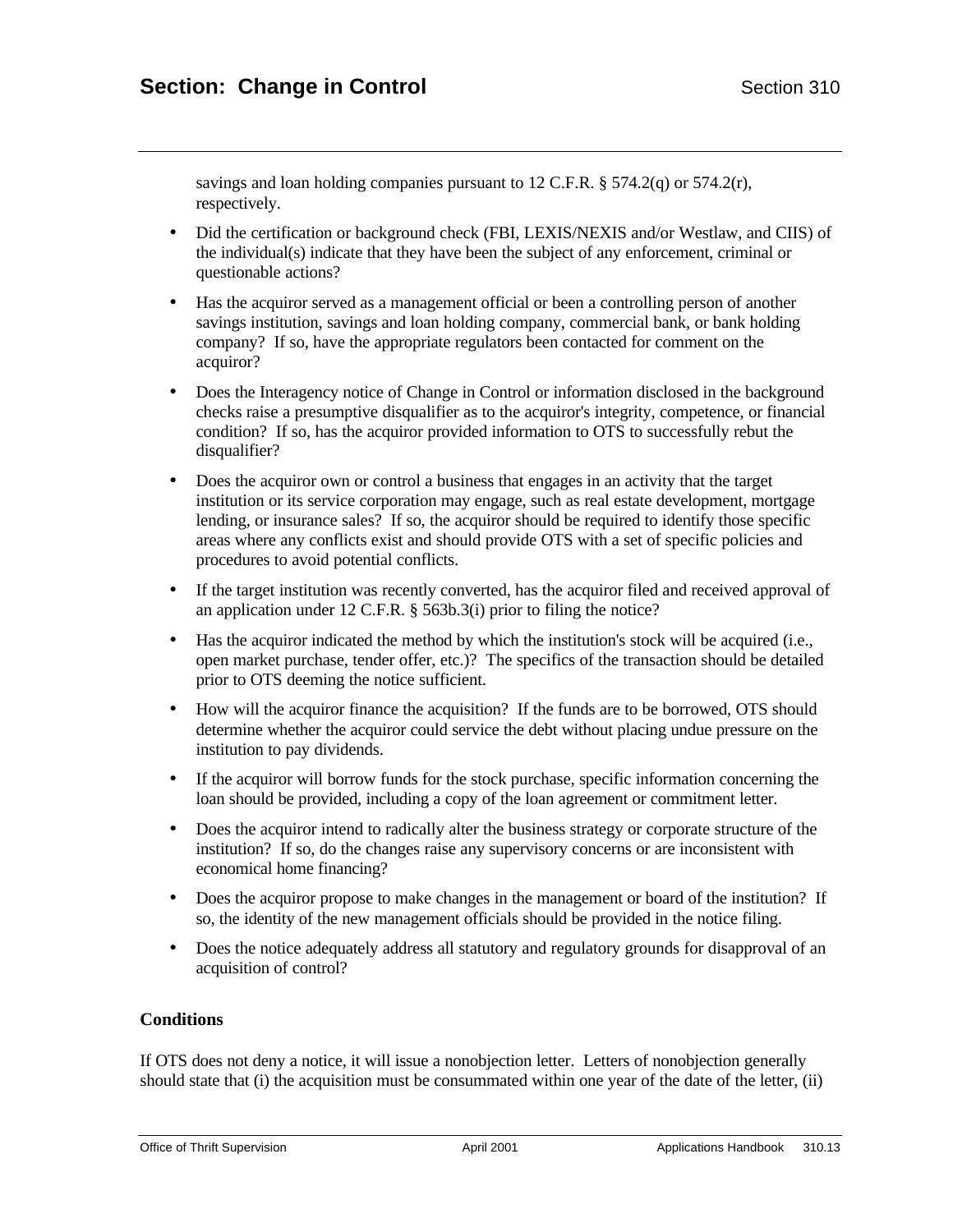savings and loan holding companies pursuant to 12 C.F.R.  $\S$  574.2(q) or 574.2(r), respectively.

- Did the certification or background check (FBI, LEXIS/NEXIS and/or Westlaw, and CIIS) of the individual(s) indicate that they have been the subject of any enforcement, criminal or questionable actions?
- Has the acquiror served as a management official or been a controlling person of another savings institution, savings and loan holding company, commercial bank, or bank holding company? If so, have the appropriate regulators been contacted for comment on the acquiror?
- Does the Interagency notice of Change in Control or information disclosed in the background checks raise a presumptive disqualifier as to the acquiror's integrity, competence, or financial condition? If so, has the acquiror provided information to OTS to successfully rebut the disqualifier?
- Does the acquiror own or control a business that engages in an activity that the target institution or its service corporation may engage, such as real estate development, mortgage lending, or insurance sales? If so, the acquiror should be required to identify those specific areas where any conflicts exist and should provide OTS with a set of specific policies and procedures to avoid potential conflicts.
- If the target institution was recently converted, has the acquiror filed and received approval of an application under 12 C.F.R. § 563b.3(i) prior to filing the notice?
- Has the acquiror indicated the method by which the institution's stock will be acquired (i.e., open market purchase, tender offer, etc.)? The specifics of the transaction should be detailed prior to OTS deeming the notice sufficient.
- How will the acquiror finance the acquisition? If the funds are to be borrowed, OTS should determine whether the acquiror could service the debt without placing undue pressure on the institution to pay dividends.
- If the acquiror will borrow funds for the stock purchase, specific information concerning the loan should be provided, including a copy of the loan agreement or commitment letter.
- Does the acquiror intend to radically alter the business strategy or corporate structure of the institution? If so, do the changes raise any supervisory concerns or are inconsistent with economical home financing?
- Does the acquiror propose to make changes in the management or board of the institution? If so, the identity of the new management officials should be provided in the notice filing.
- Does the notice adequately address all statutory and regulatory grounds for disapproval of an acquisition of control?

## **Conditions**

If OTS does not deny a notice, it will issue a nonobjection letter. Letters of nonobjection generally should state that (i) the acquisition must be consummated within one year of the date of the letter, (ii)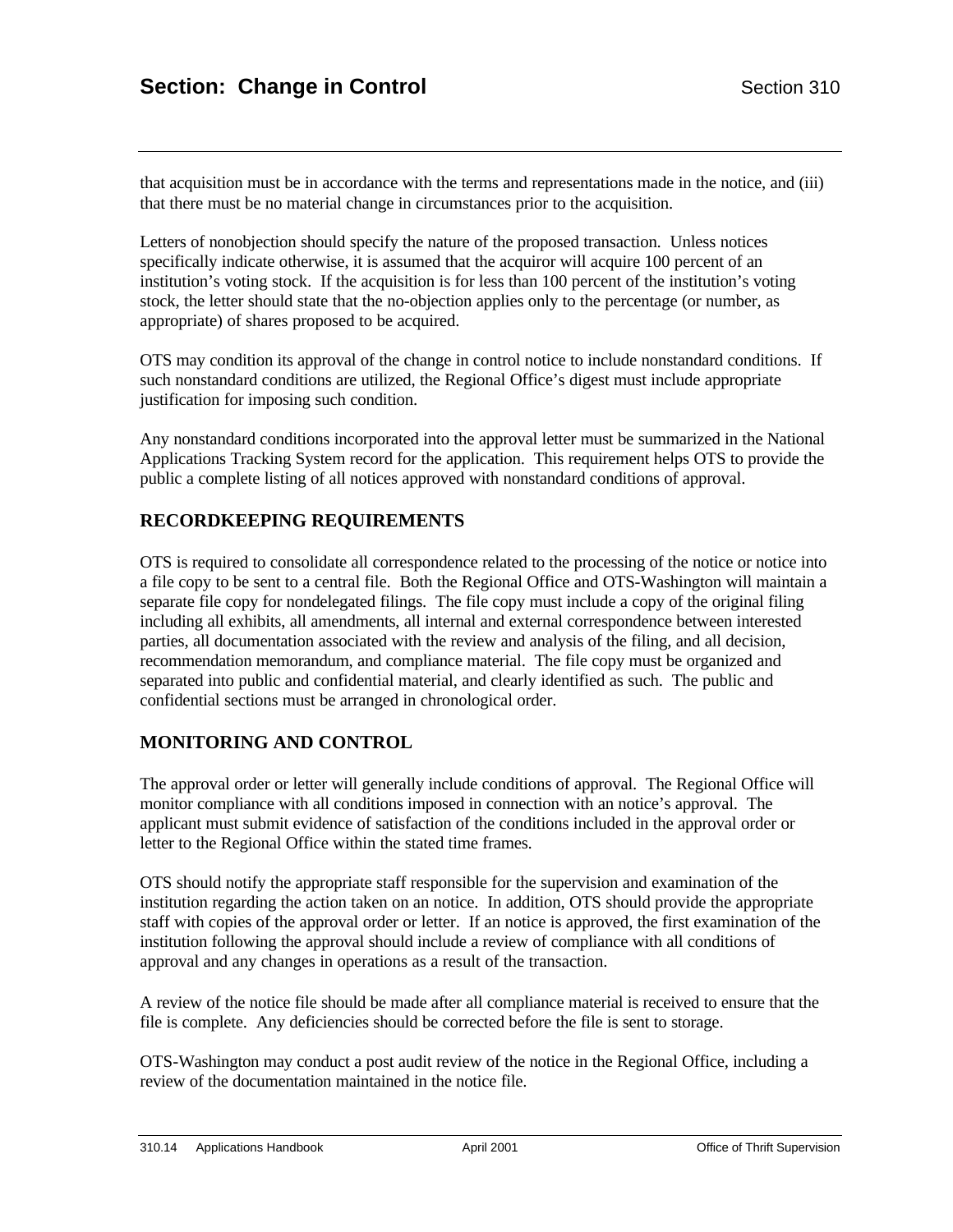that acquisition must be in accordance with the terms and representations made in the notice, and (iii) that there must be no material change in circumstances prior to the acquisition.

Letters of nonobjection should specify the nature of the proposed transaction. Unless notices specifically indicate otherwise, it is assumed that the acquiror will acquire 100 percent of an institution's voting stock. If the acquisition is for less than 100 percent of the institution's voting stock, the letter should state that the no-objection applies only to the percentage (or number, as appropriate) of shares proposed to be acquired.

OTS may condition its approval of the change in control notice to include nonstandard conditions. If such nonstandard conditions are utilized, the Regional Office's digest must include appropriate justification for imposing such condition.

Any nonstandard conditions incorporated into the approval letter must be summarized in the National Applications Tracking System record for the application. This requirement helps OTS to provide the public a complete listing of all notices approved with nonstandard conditions of approval.

## **RECORDKEEPING REQUIREMENTS**

OTS is required to consolidate all correspondence related to the processing of the notice or notice into a file copy to be sent to a central file. Both the Regional Office and OTS-Washington will maintain a separate file copy for nondelegated filings. The file copy must include a copy of the original filing including all exhibits, all amendments, all internal and external correspondence between interested parties, all documentation associated with the review and analysis of the filing, and all decision, recommendation memorandum, and compliance material. The file copy must be organized and separated into public and confidential material, and clearly identified as such. The public and confidential sections must be arranged in chronological order.

## **MONITORING AND CONTROL**

The approval order or letter will generally include conditions of approval. The Regional Office will monitor compliance with all conditions imposed in connection with an notice's approval. The applicant must submit evidence of satisfaction of the conditions included in the approval order or letter to the Regional Office within the stated time frames.

OTS should notify the appropriate staff responsible for the supervision and examination of the institution regarding the action taken on an notice. In addition, OTS should provide the appropriate staff with copies of the approval order or letter. If an notice is approved, the first examination of the institution following the approval should include a review of compliance with all conditions of approval and any changes in operations as a result of the transaction.

A review of the notice file should be made after all compliance material is received to ensure that the file is complete. Any deficiencies should be corrected before the file is sent to storage.

OTS-Washington may conduct a post audit review of the notice in the Regional Office, including a review of the documentation maintained in the notice file.